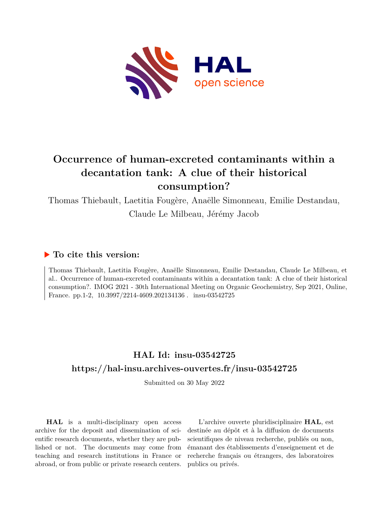

## **Occurrence of human-excreted contaminants within a decantation tank: A clue of their historical consumption?**

Thomas Thiebault, Laetitia Fougère, Anaëlle Simonneau, Emilie Destandau, Claude Le Milbeau, Jérémy Jacob

## **To cite this version:**

Thomas Thiebault, Laetitia Fougère, Anaëlle Simonneau, Emilie Destandau, Claude Le Milbeau, et al.. Occurrence of human-excreted contaminants within a decantation tank: A clue of their historical consumption?. IMOG 2021 - 30th International Meeting on Organic Geochemistry, Sep 2021, Online, France. pp.1-2,  $10.3997/2214-4609.202134136$ . insu-03542725

## **HAL Id: insu-03542725 <https://hal-insu.archives-ouvertes.fr/insu-03542725>**

Submitted on 30 May 2022

**HAL** is a multi-disciplinary open access archive for the deposit and dissemination of scientific research documents, whether they are published or not. The documents may come from teaching and research institutions in France or abroad, or from public or private research centers.

L'archive ouverte pluridisciplinaire **HAL**, est destinée au dépôt et à la diffusion de documents scientifiques de niveau recherche, publiés ou non, émanant des établissements d'enseignement et de recherche français ou étrangers, des laboratoires publics ou privés.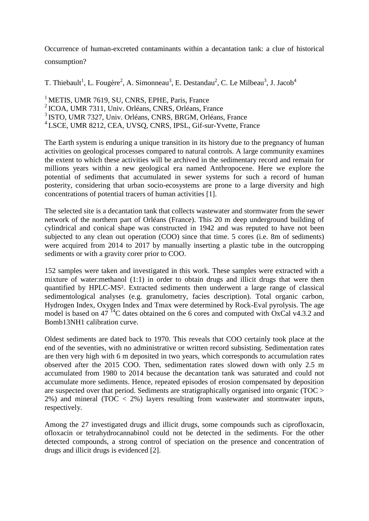Occurrence of human-excreted contaminants within a decantation tank: a clue of historical consumption?

T. Thiebault<sup>1</sup>, L. Fougère<sup>2</sup>, A. Simonneau<sup>3</sup>, E. Destandau<sup>2</sup>, C. Le Milbeau<sup>3</sup>, J. Jacob<sup>4</sup>

<sup>1</sup> METIS, UMR 7619, SU, CNRS, EPHE, Paris, France ICOA, UMR 7311, Univ. Orléans, CNRS, Orléans, France ISTO, UMR 7327, Univ. Orléans, CNRS, BRGM, Orléans, France LSCE, UMR 8212, CEA, UVSQ, CNRS, IPSL, Gif-sur-Yvette, France

The Earth system is enduring a unique transition in its history due to the pregnancy of human activities on geological processes compared to natural controls. A large community examines the extent to which these activities will be archived in the sedimentary record and remain for millions years within a new geological era named Anthropocene. Here we explore the potential of sediments that accumulated in sewer systems for such a record of human posterity, considering that urban socio-ecosystems are prone to a large diversity and high concentrations of potential tracers of human activities [1].

The selected site is a decantation tank that collects wastewater and stormwater from the sewer network of the northern part of Orléans (France). This 20 m deep underground building of cylindrical and conical shape was constructed in 1942 and was reputed to have not been subjected to any clean out operation (COO) since that time. 5 cores (i.e. 8m of sediments) were acquired from 2014 to 2017 by manually inserting a plastic tube in the outcropping sediments or with a gravity corer prior to COO.

152 samples were taken and investigated in this work. These samples were extracted with a mixture of water:methanol (1:1) in order to obtain drugs and illicit drugs that were then quantified by HPLC-MS². Extracted sediments then underwent a large range of classical sedimentological analyses (e.g. granulometry, facies description). Total organic carbon, Hydrogen Index, Oxygen Index and Tmax were determined by Rock-Eval pyrolysis. The age model is based on 47 $^{14}$ C dates obtained on the 6 cores and computed with OxCal v4.3.2 and Bomb13NH1 calibration curve.

Oldest sediments are dated back to 1970. This reveals that COO certainly took place at the end of the seventies, with no administrative or written record subsisting. Sedimentation rates are then very high with 6 m deposited in two years, which corresponds to accumulation rates observed after the 2015 COO. Then, sedimentation rates slowed down with only 2.5 m accumulated from 1980 to 2014 because the decantation tank was saturated and could not accumulate more sediments. Hence, repeated episodes of erosion compensated by deposition are suspected over that period. Sediments are stratigraphically organised into organic (TOC > 2%) and mineral (TOC < 2%) layers resulting from wastewater and stormwater inputs, respectively.

Among the 27 investigated drugs and illicit drugs, some compounds such as ciprofloxacin, ofloxacin or tetrahydrocannabinol could not be detected in the sediments. For the other detected compounds, a strong control of speciation on the presence and concentration of drugs and illicit drugs is evidenced [2].